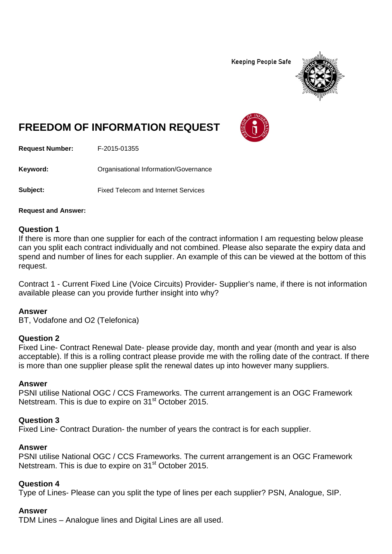**Keeping People Safe** 



# **FREEDOM OF INFORMATION REQUEST**

**Request Number:** F-2015-01355

Keyword: **Communistry Communists** Organisational Information/Governance

**Subject:** Fixed Telecom and Internet Services

**Request and Answer:**

# **Question 1**

If there is more than one supplier for each of the contract information I am requesting below please can you split each contract individually and not combined. Please also separate the expiry data and spend and number of lines for each supplier. An example of this can be viewed at the bottom of this request.

Contract 1 - Current Fixed Line (Voice Circuits) Provider- Supplier's name, if there is not information available please can you provide further insight into why?

# **Answer**

BT, Vodafone and O2 (Telefonica)

# **Question 2**

Fixed Line- Contract Renewal Date- please provide day, month and year (month and year is also acceptable). If this is a rolling contract please provide me with the rolling date of the contract. If there is more than one supplier please split the renewal dates up into however many suppliers.

# **Answer**

PSNI utilise National OGC / CCS Frameworks. The current arrangement is an OGC Framework Netstream. This is due to expire on 31<sup>st</sup> October 2015.

# **Question 3**

Fixed Line- Contract Duration- the number of years the contract is for each supplier.

# **Answer**

PSNI utilise National OGC / CCS Frameworks. The current arrangement is an OGC Framework Netstream. This is due to expire on 31<sup>st</sup> October 2015.

# **Question 4**

Type of Lines- Please can you split the type of lines per each supplier? PSN, Analogue, SIP.

# **Answer**

TDM Lines – Analogue lines and Digital Lines are all used.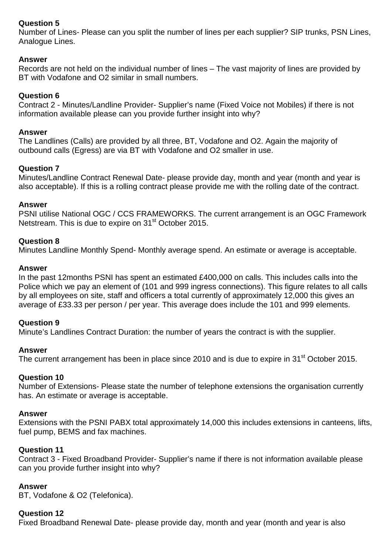# **Question 5**

Number of Lines- Please can you split the number of lines per each supplier? SIP trunks, PSN Lines, Analogue Lines.

# **Answer**

Records are not held on the individual number of lines – The vast majority of lines are provided by BT with Vodafone and O2 similar in small numbers.

# **Question 6**

Contract 2 - Minutes/Landline Provider- Supplier's name (Fixed Voice not Mobiles) if there is not information available please can you provide further insight into why?

# **Answer**

The Landlines (Calls) are provided by all three, BT, Vodafone and O2. Again the majority of outbound calls (Egress) are via BT with Vodafone and O2 smaller in use.

# **Question 7**

Minutes/Landline Contract Renewal Date- please provide day, month and year (month and year is also acceptable). If this is a rolling contract please provide me with the rolling date of the contract.

# **Answer**

PSNI utilise National OGC / CCS FRAMEWORKS. The current arrangement is an OGC Framework Netstream. This is due to expire on 31<sup>st</sup> October 2015.

# **Question 8**

Minutes Landline Monthly Spend- Monthly average spend. An estimate or average is acceptable.

# **Answer**

In the past 12months PSNI has spent an estimated £400,000 on calls. This includes calls into the Police which we pay an element of (101 and 999 ingress connections). This figure relates to all calls by all employees on site, staff and officers a total currently of approximately 12,000 this gives an average of £33.33 per person / per year. This average does include the 101 and 999 elements.

# **Question 9**

Minute's Landlines Contract Duration: the number of years the contract is with the supplier.

# **Answer**

The current arrangement has been in place since 2010 and is due to expire in 31<sup>st</sup> October 2015.

# **Question 10**

Number of Extensions- Please state the number of telephone extensions the organisation currently has. An estimate or average is acceptable.

# **Answer**

Extensions with the PSNI PABX total approximately 14,000 this includes extensions in canteens, lifts, fuel pump, BEMS and fax machines.

# **Question 11**

Contract 3 - Fixed Broadband Provider- Supplier's name if there is not information available please can you provide further insight into why?

# **Answer**

BT, Vodafone & O2 (Telefonica).

# **Question 12**

Fixed Broadband Renewal Date- please provide day, month and year (month and year is also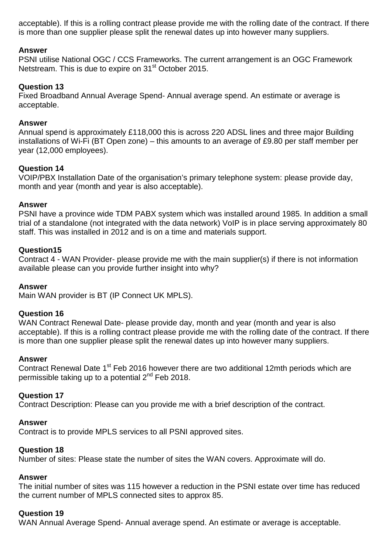acceptable). If this is a rolling contract please provide me with the rolling date of the contract. If there is more than one supplier please split the renewal dates up into however many suppliers.

# **Answer**

PSNI utilise National OGC / CCS Frameworks. The current arrangement is an OGC Framework Netstream. This is due to expire on 31st October 2015.

# **Question 13**

Fixed Broadband Annual Average Spend- Annual average spend. An estimate or average is acceptable.

# **Answer**

Annual spend is approximately £118,000 this is across 220 ADSL lines and three major Building installations of Wi-Fi (BT Open zone) – this amounts to an average of £9.80 per staff member per year (12,000 employees).

# **Question 14**

VOIP/PBX Installation Date of the organisation's primary telephone system: please provide day, month and year (month and year is also acceptable).

# **Answer**

PSNI have a province wide TDM PABX system which was installed around 1985. In addition a small trial of a standalone (not integrated with the data network) VoIP is in place serving approximately 80 staff. This was installed in 2012 and is on a time and materials support.

# **Question15**

Contract 4 - WAN Provider- please provide me with the main supplier(s) if there is not information available please can you provide further insight into why?

# **Answer**

Main WAN provider is BT (IP Connect UK MPLS).

# **Question 16**

WAN Contract Renewal Date- please provide day, month and year (month and year is also acceptable). If this is a rolling contract please provide me with the rolling date of the contract. If there is more than one supplier please split the renewal dates up into however many suppliers.

# **Answer**

Contract Renewal Date 1<sup>st</sup> Feb 2016 however there are two additional 12mth periods which are permissible taking up to a potential  $2^{nd}$  Feb 2018.

# **Question 17**

Contract Description: Please can you provide me with a brief description of the contract.

# **Answer**

Contract is to provide MPLS services to all PSNI approved sites.

# **Question 18**

Number of sites: Please state the number of sites the WAN covers. Approximate will do.

# **Answer**

The initial number of sites was 115 however a reduction in the PSNI estate over time has reduced the current number of MPLS connected sites to approx 85.

# **Question 19**

WAN Annual Average Spend- Annual average spend. An estimate or average is acceptable.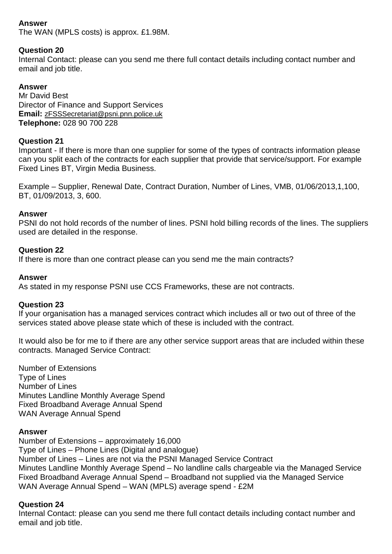# **Answer**

The WAN (MPLS costs) is approx. £1.98M.

# **Question 20**

Internal Contact: please can you send me there full contact details including contact number and email and job title.

# **Answer**

Mr David Best Director of Finance and Support Services **Email:** [zFSSSecretariat@psni.pnn.police.uk](mailto:zFSSSecretariat@psni.pnn.police.uk) **Telephone:** 028 90 700 228

# **Question 21**

Important - If there is more than one supplier for some of the types of contracts information please can you split each of the contracts for each supplier that provide that service/support. For example Fixed Lines BT, Virgin Media Business.

Example – Supplier, Renewal Date, Contract Duration, Number of Lines, VMB, 01/06/2013,1,100, BT, 01/09/2013, 3, 600.

#### **Answer**

PSNI do not hold records of the number of lines. PSNI hold billing records of the lines. The suppliers used are detailed in the response.

#### **Question 22**

If there is more than one contract please can you send me the main contracts?

#### **Answer**

As stated in my response PSNI use CCS Frameworks, these are not contracts.

# **Question 23**

If your organisation has a managed services contract which includes all or two out of three of the services stated above please state which of these is included with the contract.

It would also be for me to if there are any other service support areas that are included within these contracts. Managed Service Contract:

Number of Extensions Type of Lines Number of Lines Minutes Landline Monthly Average Spend Fixed Broadband Average Annual Spend WAN Average Annual Spend

# **Answer**

Number of Extensions – approximately 16,000 Type of Lines – Phone Lines (Digital and analogue) Number of Lines – Lines are not via the PSNI Managed Service Contract Minutes Landline Monthly Average Spend – No landline calls chargeable via the Managed Service Fixed Broadband Average Annual Spend – Broadband not supplied via the Managed Service WAN Average Annual Spend – WAN (MPLS) average spend - £2M

# **Question 24**

Internal Contact: please can you send me there full contact details including contact number and email and job title.